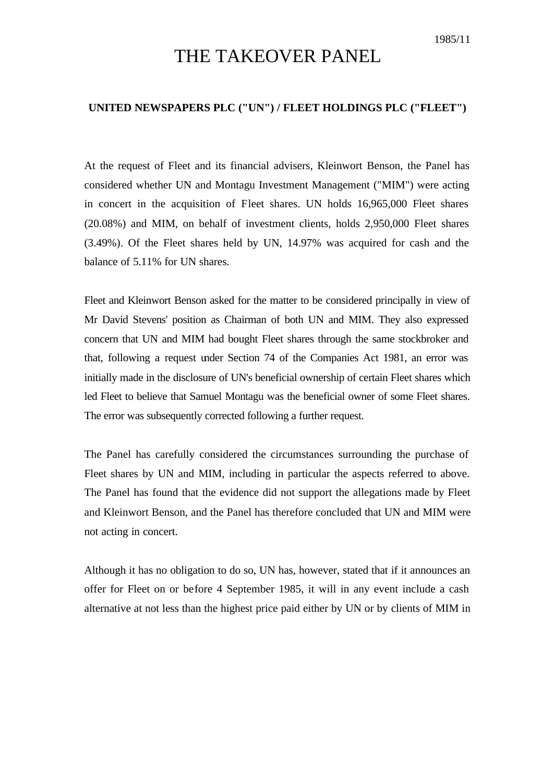## THE TAKEOVER PANEL

## **UNITED NEWSPAPERS PLC ("UN") / FLEET HOLDINGS PLC ("FLEET")**

At the request of Fleet and its financial advisers, Kleinwort Benson, the Panel has considered whether UN and Montagu Investment Management ("MIM") were acting in concert in the acquisition of Fleet shares. UN holds 16,965,000 Fleet shares (20.08%) and MIM, on behalf of investment clients, holds 2,950,000 Fleet shares (3.49%). Of the Fleet shares held by UN, 14.97% was acquired for cash and the balance of 5.11% for UN shares.

Fleet and Kleinwort Benson asked for the matter to be considered principally in view of Mr David Stevens' position as Chairman of both UN and MIM. They also expressed concern that UN and MIM had bought Fleet shares through the same stockbroker and that, following a request under Section 74 of the Companies Act 1981, an error was initially made in the disclosure of UN's beneficial ownership of certain Fleet shares which led Fleet to believe that Samuel Montagu was the beneficial owner of some Fleet shares. The error was subsequently corrected following a further request.

The Panel has carefully considered the circumstances surrounding the purchase of Fleet shares by UN and MIM, including in particular the aspects referred to above. The Panel has found that the evidence did not support the allegations made by Fleet and Kleinwort Benson, and the Panel has therefore concluded that UN and MIM were not acting in concert.

Although it has no obligation to do so, UN has, however, stated that if it announces an offer for Fleet on or before 4 September 1985, it will in any event include a cash alternative at not less than the highest price paid either by UN or by clients of MIM in